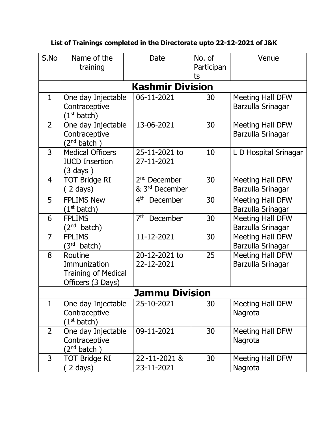| S.No                    | Name of the<br>training                                                    | Date                                                   | No. of<br>Participan | Venue                                 |  |  |  |  |
|-------------------------|----------------------------------------------------------------------------|--------------------------------------------------------|----------------------|---------------------------------------|--|--|--|--|
|                         |                                                                            |                                                        | ts                   |                                       |  |  |  |  |
| <b>Kashmir Division</b> |                                                                            |                                                        |                      |                                       |  |  |  |  |
| $\mathbf{1}$            | One day Injectable<br>Contraceptive<br>(1 <sup>st</sup> batch)             | 06-11-2021                                             | 30                   | Meeting Hall DFW<br>Barzulla Srinagar |  |  |  |  |
| $\overline{2}$          | One day Injectable<br>Contraceptive<br>$(2^{nd}$ batch)                    | 13-06-2021                                             | 30                   | Meeting Hall DFW<br>Barzulla Srinagar |  |  |  |  |
| $\overline{3}$          | <b>Medical Officers</b><br><b>IUCD Insertion</b><br>$(3 \text{ days})$     | 25-11-2021 to<br>27-11-2021                            | 10                   | L D Hospital Srinagar                 |  |  |  |  |
| 4                       | <b>TOT Bridge RI</b><br>$(2 \text{ days})$                                 | 2 <sup>nd</sup> December<br>& 3 <sup>rd</sup> December | 30                   | Meeting Hall DFW<br>Barzulla Srinagar |  |  |  |  |
| 5                       | <b>FPLIMS New</b><br>(1 <sup>st</sup> batch)                               | 4 <sup>th</sup> December                               | 30                   | Meeting Hall DFW<br>Barzulla Srinagar |  |  |  |  |
| 6                       | <b>FPLIMS</b><br>$(2^{nd}$ batch)                                          | 7 <sup>th</sup><br>December                            | 30                   | Meeting Hall DFW<br>Barzulla Srinagar |  |  |  |  |
| $\overline{7}$          | <b>FPLIMS</b><br>(3 <sup>rd</sup> batch)                                   | 11-12-2021                                             | 30                   | Meeting Hall DFW<br>Barzulla Srinagar |  |  |  |  |
| 8                       | Routine<br>Immunization<br><b>Training of Medical</b><br>Officers (3 Days) | 20-12-2021 to<br>22-12-2021                            | 25                   | Meeting Hall DFW<br>Barzulla Srinagar |  |  |  |  |
| <b>Jammu Division</b>   |                                                                            |                                                        |                      |                                       |  |  |  |  |
| $\mathbf{1}$            | One day Injectable<br>Contraceptive<br>(1 <sup>st</sup> batch)             | 25-10-2021                                             | 30                   | Meeting Hall DFW<br>Nagrota           |  |  |  |  |
| $\overline{2}$          | One day Injectable<br>Contraceptive<br>$2^{nd}$ batch)                     | 09-11-2021                                             | 30                   | Meeting Hall DFW<br>Nagrota           |  |  |  |  |
| 3                       | <b>TOT Bridge RI</b><br>(2 days)                                           | 22-11-2021 &<br>23-11-2021                             | 30                   | Meeting Hall DFW<br>Nagrota           |  |  |  |  |

## **List of Trainings completed in the Directorate upto 22-12-2021 of J&K**